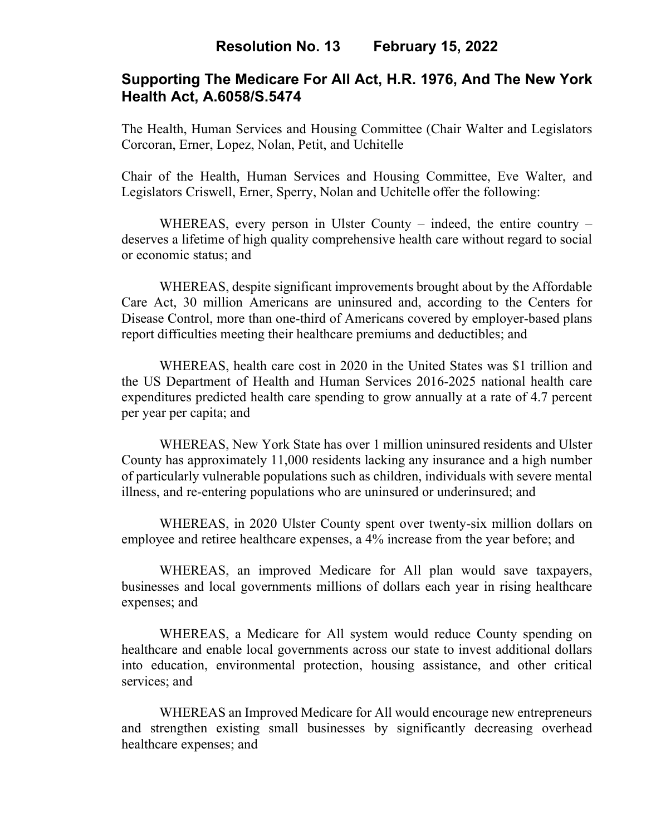# **Resolution No. 13 February 15, 2022**

# **Supporting The Medicare For All Act, H.R. 1976, And The New York Health Act, A.6058/S.5474**

The Health, Human Services and Housing Committee (Chair Walter and Legislators Corcoran, Erner, Lopez, Nolan, Petit, and Uchitelle

Chair of the Health, Human Services and Housing Committee, Eve Walter, and Legislators Criswell, Erner, Sperry, Nolan and Uchitelle offer the following:

WHEREAS, every person in Ulster County – indeed, the entire country – deserves a lifetime of high quality comprehensive health care without regard to social or economic status; and

WHEREAS, despite significant improvements brought about by the Affordable Care Act, 30 million Americans are uninsured and, according to the Centers for Disease Control, more than one-third of Americans covered by employer-based plans report difficulties meeting their healthcare premiums and deductibles; and

WHEREAS, health care cost in 2020 in the United States was \$1 trillion and the US Department of Health and Human Services 2016-2025 national health care expenditures predicted health care spending to grow annually at a rate of 4.7 percent per year per capita; and

WHEREAS, New York State has over 1 million uninsured residents and Ulster County has approximately 11,000 residents lacking any insurance and a high number of particularly vulnerable populations such as children, individuals with severe mental illness, and re-entering populations who are uninsured or underinsured; and

WHEREAS, in 2020 Ulster County spent over twenty-six million dollars on employee and retiree healthcare expenses, a 4% increase from the year before; and

WHEREAS, an improved Medicare for All plan would save taxpayers, businesses and local governments millions of dollars each year in rising healthcare expenses; and

WHEREAS, a Medicare for All system would reduce County spending on healthcare and enable local governments across our state to invest additional dollars into education, environmental protection, housing assistance, and other critical services; and

WHEREAS an Improved Medicare for All would encourage new entrepreneurs and strengthen existing small businesses by significantly decreasing overhead healthcare expenses; and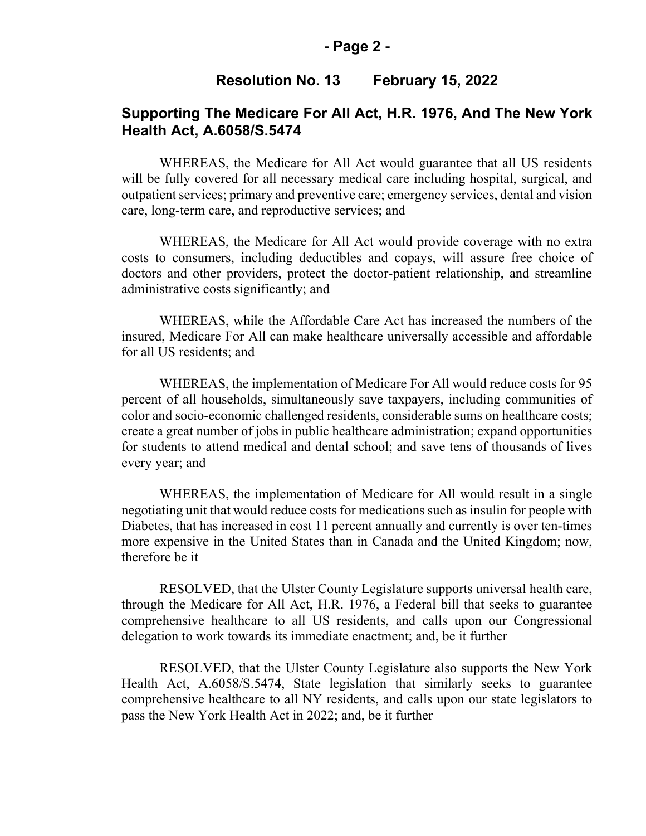#### **- Page 2 -**

#### **Resolution No. 13 February 15, 2022**

# **Supporting The Medicare For All Act, H.R. 1976, And The New York Health Act, A.6058/S.5474**

WHEREAS, the Medicare for All Act would guarantee that all US residents will be fully covered for all necessary medical care including hospital, surgical, and outpatient services; primary and preventive care; emergency services, dental and vision care, long-term care, and reproductive services; and

WHEREAS, the Medicare for All Act would provide coverage with no extra costs to consumers, including deductibles and copays, will assure free choice of doctors and other providers, protect the doctor-patient relationship, and streamline administrative costs significantly; and

WHEREAS, while the Affordable Care Act has increased the numbers of the insured, Medicare For All can make healthcare universally accessible and affordable for all US residents; and

WHEREAS, the implementation of Medicare For All would reduce costs for 95 percent of all households, simultaneously save taxpayers, including communities of color and socio-economic challenged residents, considerable sums on healthcare costs; create a great number of jobs in public healthcare administration; expand opportunities for students to attend medical and dental school; and save tens of thousands of lives every year; and

WHEREAS, the implementation of Medicare for All would result in a single negotiating unit that would reduce costs for medications such as insulin for people with Diabetes, that has increased in cost 11 percent annually and currently is over ten-times more expensive in the United States than in Canada and the United Kingdom; now, therefore be it

RESOLVED, that the Ulster County Legislature supports universal health care, through the Medicare for All Act, H.R. 1976, a Federal bill that seeks to guarantee comprehensive healthcare to all US residents, and calls upon our Congressional delegation to work towards its immediate enactment; and, be it further

RESOLVED, that the Ulster County Legislature also supports the New York Health Act, A.6058/S.5474, State legislation that similarly seeks to guarantee comprehensive healthcare to all NY residents, and calls upon our state legislators to pass the New York Health Act in 2022; and, be it further